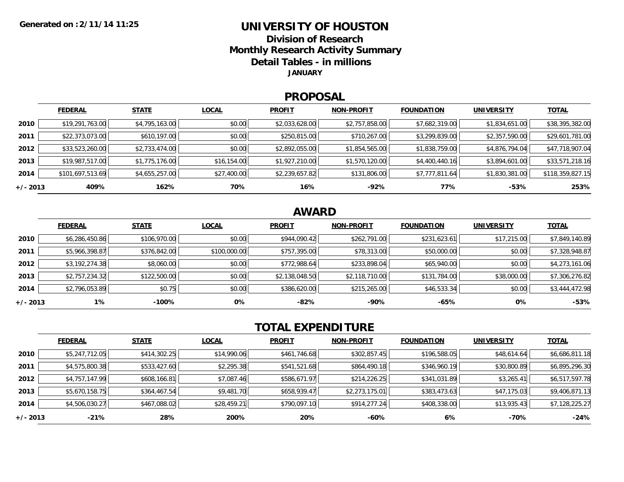### **UNIVERSITY OF HOUSTONDivision of ResearchMonthly Research Activity Summary Detail Tables - in millions**

**JANUARY**

#### **PROPOSAL**

|            | <b>FEDERAL</b>   | <b>STATE</b>   | <b>LOCAL</b> | <b>PROFIT</b>  | <b>NON-PROFIT</b> | <b>FOUNDATION</b> | <b>UNIVERSITY</b> | <u>TOTAL</u>     |
|------------|------------------|----------------|--------------|----------------|-------------------|-------------------|-------------------|------------------|
| 2010       | \$19,291,763.00  | \$4,795,163.00 | \$0.00       | \$2,033,628.00 | \$2,757,858.00    | \$7,682,319.00    | \$1,834,651.00    | \$38,395,382.00  |
| 2011       | \$22,373,073.00  | \$610,197.00   | \$0.00       | \$250,815.00   | \$710,267.00      | \$3,299,839.00    | \$2,357,590.00    | \$29,601,781.00  |
| 2012       | \$33,523,260.00  | \$2,733,474.00 | \$0.00       | \$2,892,055.00 | \$1,854,565.00    | \$1,838,759.00    | \$4,876,794.04    | \$47,718,907.04  |
| 2013       | \$19,987,517.00  | \$1,775,176.00 | \$16,154.00  | \$1,927,210.00 | \$1,570,120.00    | \$4,400,440.16    | \$3,894,601.00    | \$33,571,218.16  |
| 2014       | \$101,697,513.69 | \$4,655,257.00 | \$27,400.00  | \$2,239,657.82 | \$131,806.00      | \$7,777,811.64    | \$1,830,381.00    | \$118,359,827.15 |
| $+/- 2013$ | 409%             | 162%           | 70%          | 16%            | -92%              | 77%               | $-53%$            | 253%             |

## **AWARD**

|          | <b>FEDERAL</b> | <b>STATE</b> | <b>LOCAL</b> | <b>PROFIT</b>  | <b>NON-PROFIT</b> | <b>FOUNDATION</b> | <b>UNIVERSITY</b> | <b>TOTAL</b>   |
|----------|----------------|--------------|--------------|----------------|-------------------|-------------------|-------------------|----------------|
| 2010     | \$6,286,450.86 | \$106,970.00 | \$0.00       | \$944,090.42   | \$262,791.00      | \$231,623.61      | \$17,215.00       | \$7,849,140.89 |
| 2011     | \$5,966,398.87 | \$376,842.00 | \$100,000.00 | \$757,395.00   | \$78,313.00       | \$50,000.00       | \$0.00            | \$7,328,948.87 |
| 2012     | \$3,192,274.38 | \$8,060.00   | \$0.00       | \$772,988.64   | \$233,898.04      | \$65,940.00       | \$0.00            | \$4,273,161.06 |
| 2013     | \$2,757,234.32 | \$122,500.00 | \$0.00       | \$2,138,048.50 | \$2,118,710.00    | \$131,784.00      | \$38,000.00       | \$7,306,276.82 |
| 2014     | \$2,796,053.89 | \$0.75       | \$0.00       | \$386,620.00   | \$215,265.00      | \$46,533.34       | \$0.00            | \$3,444,472.98 |
| +/- 2013 | 1%             | $-100\%$     | 0%           | -82%           | -90%              | $-65%$            | 0%                | $-53%$         |

# **TOTAL EXPENDITURE**

|          | <b>FEDERAL</b> | <b>STATE</b> | <b>LOCAL</b> | <b>PROFIT</b> | <b>NON-PROFIT</b> | <b>FOUNDATION</b> | <b>UNIVERSITY</b> | <b>TOTAL</b>   |
|----------|----------------|--------------|--------------|---------------|-------------------|-------------------|-------------------|----------------|
| 2010     | \$5,247,712.05 | \$414,302.25 | \$14,990.06  | \$461,746.68  | \$302,857.45      | \$196,588.05      | \$48,614.64       | \$6,686,811.18 |
| 2011     | \$4,575,800.38 | \$533,427.60 | \$2,295.38   | \$541,521.68  | \$864,490.18      | \$346,960.19      | \$30,800.89       | \$6,895,296.30 |
| 2012     | \$4,757,147.99 | \$608,166.81 | \$7,087.46   | \$586,671.97  | \$214,226.25      | \$341,031.89      | \$3,265.41        | \$6,517,597.78 |
| 2013     | \$5,670,158.75 | \$364,467.54 | \$9,481.70   | \$658,939.47  | \$2,273,175.01    | \$383,473.63      | \$47,175.03       | \$9,406,871.13 |
| 2014     | \$4,506,030.27 | \$467,088.02 | \$28,459.21  | \$790,097.10  | \$914,277.24      | \$408,338.00      | \$13,935.43       | \$7,128,225.27 |
| +/- 2013 | $-21%$         | 28%          | 200%         | 20%           | $-60%$            | 6%                | -70%              | $-24%$         |